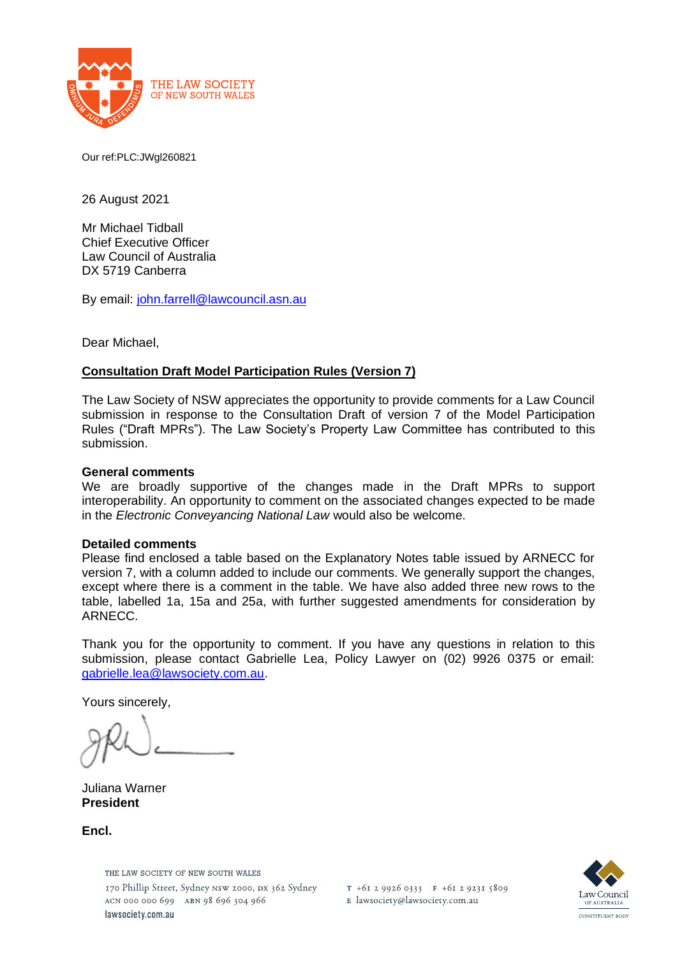

Our ref:PLC:JWgl260821

26 August 2021

Mr Michael Tidball Chief Executive Officer Law Council of Australia DX 5719 Canberra

By email: [john.farrell@lawcouncil.asn.au](about:blank)

Dear Michael,

### **Consultation Draft Model Participation Rules (Version 7)**

The Law Society of NSW appreciates the opportunity to provide comments for a Law Council submission in response to the Consultation Draft of version 7 of the Model Participation Rules ("Draft MPRs"). The Law Society's Property Law Committee has contributed to this submission.

#### **General comments**

We are broadly supportive of the changes made in the Draft MPRs to support interoperability. An opportunity to comment on the associated changes expected to be made in the *Electronic Conveyancing National Law* would also be welcome.

#### **Detailed comments**

Please find enclosed a table based on the Explanatory Notes table issued by ARNECC for version 7, with a column added to include our comments. We generally support the changes, except where there is a comment in the table. We have also added three new rows to the table, labelled 1a, 15a and 25a, with further suggested amendments for consideration by ARNECC.

Thank you for the opportunity to comment. If you have any questions in relation to this submission, please contact Gabrielle Lea, Policy Lawyer on (02) 9926 0375 or email: [gabrielle.lea@lawsociety.com.au.](about:blank)

Yours sincerely,

Juliana Warner **President**

**Encl.**

THE LAW SOCIETY OF NEW SOUTH WALES 170 Phillip Street, Sydney NSW 2000, DX 362 Sydney ACN 000 000 699 ABN 98 696 304 966 lawsociety.com.au

T +61 2 9926 0333 F +61 2 9231 5809 E lawsociety@lawsociety.com.au

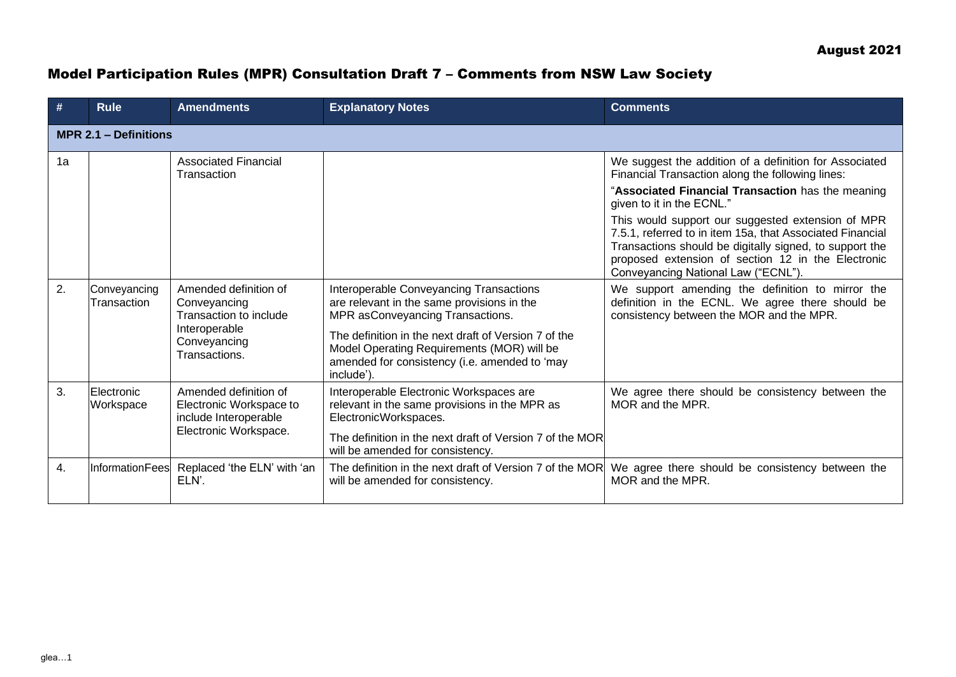# Model Participation Rules (MPR) Consultation Draft 7 – Comments from NSW Law Society

| #                            | <b>Rule</b>                 | <b>Amendments</b>                                                                                                                              | <b>Explanatory Notes</b>                                                                                                                                                                                                        | <b>Comments</b>                                                                                                                                                                                                                                                                                                                                                                                                                                                                                                                                                                                                            |  |
|------------------------------|-----------------------------|------------------------------------------------------------------------------------------------------------------------------------------------|---------------------------------------------------------------------------------------------------------------------------------------------------------------------------------------------------------------------------------|----------------------------------------------------------------------------------------------------------------------------------------------------------------------------------------------------------------------------------------------------------------------------------------------------------------------------------------------------------------------------------------------------------------------------------------------------------------------------------------------------------------------------------------------------------------------------------------------------------------------------|--|
| <b>MPR 2.1 - Definitions</b> |                             |                                                                                                                                                |                                                                                                                                                                                                                                 |                                                                                                                                                                                                                                                                                                                                                                                                                                                                                                                                                                                                                            |  |
| 1a<br>2.                     | Conveyancing<br>Transaction | <b>Associated Financial</b><br>Transaction<br>Amended definition of<br>Conveyancing<br>Transaction to include<br>Interoperable<br>Conveyancing | Interoperable Conveyancing Transactions<br>are relevant in the same provisions in the<br>MPR asConveyancing Transactions.<br>The definition in the next draft of Version 7 of the<br>Model Operating Requirements (MOR) will be | We suggest the addition of a definition for Associated<br>Financial Transaction along the following lines:<br>"Associated Financial Transaction has the meaning<br>given to it in the ECNL."<br>This would support our suggested extension of MPR<br>7.5.1, referred to in item 15a, that Associated Financial<br>Transactions should be digitally signed, to support the<br>proposed extension of section 12 in the Electronic<br>Conveyancing National Law ("ECNL").<br>We support amending the definition to mirror the<br>definition in the ECNL. We agree there should be<br>consistency between the MOR and the MPR. |  |
|                              |                             | Transactions.                                                                                                                                  | amended for consistency (i.e. amended to 'may<br>include')                                                                                                                                                                      |                                                                                                                                                                                                                                                                                                                                                                                                                                                                                                                                                                                                                            |  |
| 3.                           | Electronic<br>Workspace     | Amended definition of<br>Electronic Workspace to<br>include Interoperable<br>Electronic Workspace.                                             | Interoperable Electronic Workspaces are<br>relevant in the same provisions in the MPR as<br>ElectronicWorkspaces.<br>The definition in the next draft of Version 7 of the MOR<br>will be amended for consistency.               | We agree there should be consistency between the<br>MOR and the MPR.                                                                                                                                                                                                                                                                                                                                                                                                                                                                                                                                                       |  |
| 4.                           | <b>InformationFees</b>      | Replaced 'the ELN' with 'an<br>ELN'.                                                                                                           | The definition in the next draft of Version 7 of the MOR<br>will be amended for consistency.                                                                                                                                    | We agree there should be consistency between the<br>MOR and the MPR.                                                                                                                                                                                                                                                                                                                                                                                                                                                                                                                                                       |  |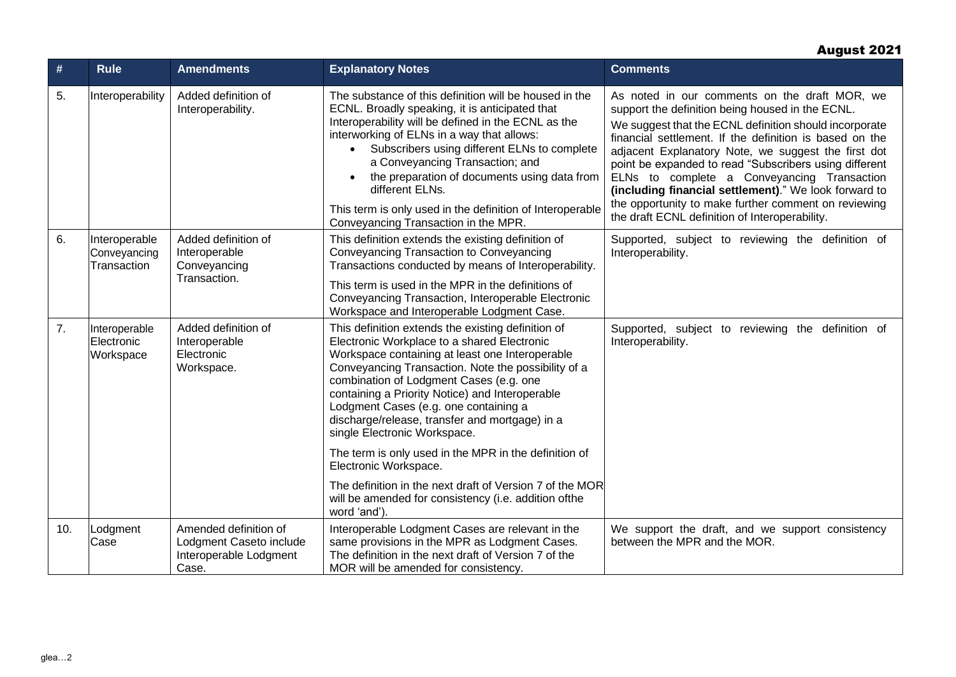## August 2021

| #   | <b>Rule</b>                                  | <b>Amendments</b>                                                                   | <b>Explanatory Notes</b>                                                                                                                                                                                                                                                                                                                                                                                                                                                 | <b>Comments</b>                                                                                                                                                                                                                                                                                                                                                                                                                                                                                                                                           |
|-----|----------------------------------------------|-------------------------------------------------------------------------------------|--------------------------------------------------------------------------------------------------------------------------------------------------------------------------------------------------------------------------------------------------------------------------------------------------------------------------------------------------------------------------------------------------------------------------------------------------------------------------|-----------------------------------------------------------------------------------------------------------------------------------------------------------------------------------------------------------------------------------------------------------------------------------------------------------------------------------------------------------------------------------------------------------------------------------------------------------------------------------------------------------------------------------------------------------|
| 5.  | Interoperability                             | Added definition of<br>Interoperability.                                            | The substance of this definition will be housed in the<br>ECNL. Broadly speaking, it is anticipated that<br>Interoperability will be defined in the ECNL as the<br>interworking of ELNs in a way that allows:<br>Subscribers using different ELNs to complete<br>a Conveyancing Transaction; and<br>the preparation of documents using data from<br>different ELNs.<br>This term is only used in the definition of Interoperable<br>Conveyancing Transaction in the MPR. | As noted in our comments on the draft MOR, we<br>support the definition being housed in the ECNL.<br>We suggest that the ECNL definition should incorporate<br>financial settlement. If the definition is based on the<br>adjacent Explanatory Note, we suggest the first dot<br>point be expanded to read "Subscribers using different<br>ELNs to complete a Conveyancing Transaction<br>(including financial settlement)." We look forward to<br>the opportunity to make further comment on reviewing<br>the draft ECNL definition of Interoperability. |
| 6.  | Interoperable<br>Conveyancing<br>Transaction | Added definition of<br>Interoperable<br>Conveyancing<br>Transaction.                | This definition extends the existing definition of<br>Conveyancing Transaction to Conveyancing<br>Transactions conducted by means of Interoperability.<br>This term is used in the MPR in the definitions of<br>Conveyancing Transaction, Interoperable Electronic<br>Workspace and Interoperable Lodgment Case.                                                                                                                                                         | Supported, subject to reviewing the definition of<br>Interoperability.                                                                                                                                                                                                                                                                                                                                                                                                                                                                                    |
| 7.  | Interoperable<br>Electronic<br>Workspace     | Added definition of<br>Interoperable<br>Electronic<br>Workspace.                    | This definition extends the existing definition of<br>Electronic Workplace to a shared Electronic<br>Workspace containing at least one Interoperable<br>Conveyancing Transaction. Note the possibility of a<br>combination of Lodgment Cases (e.g. one<br>containing a Priority Notice) and Interoperable<br>Lodgment Cases (e.g. one containing a<br>discharge/release, transfer and mortgage) in a<br>single Electronic Workspace.                                     | Supported, subject to reviewing the definition of<br>Interoperability.                                                                                                                                                                                                                                                                                                                                                                                                                                                                                    |
|     |                                              |                                                                                     | The term is only used in the MPR in the definition of<br>Electronic Workspace.                                                                                                                                                                                                                                                                                                                                                                                           |                                                                                                                                                                                                                                                                                                                                                                                                                                                                                                                                                           |
|     |                                              |                                                                                     | The definition in the next draft of Version 7 of the MOR<br>will be amended for consistency (i.e. addition of the<br>word 'and').                                                                                                                                                                                                                                                                                                                                        |                                                                                                                                                                                                                                                                                                                                                                                                                                                                                                                                                           |
| 10. | Lodgment<br>Case                             | Amended definition of<br>Lodgment Caseto include<br>Interoperable Lodgment<br>Case. | Interoperable Lodgment Cases are relevant in the<br>same provisions in the MPR as Lodgment Cases.<br>The definition in the next draft of Version 7 of the<br>MOR will be amended for consistency.                                                                                                                                                                                                                                                                        | We support the draft, and we support consistency<br>between the MPR and the MOR.                                                                                                                                                                                                                                                                                                                                                                                                                                                                          |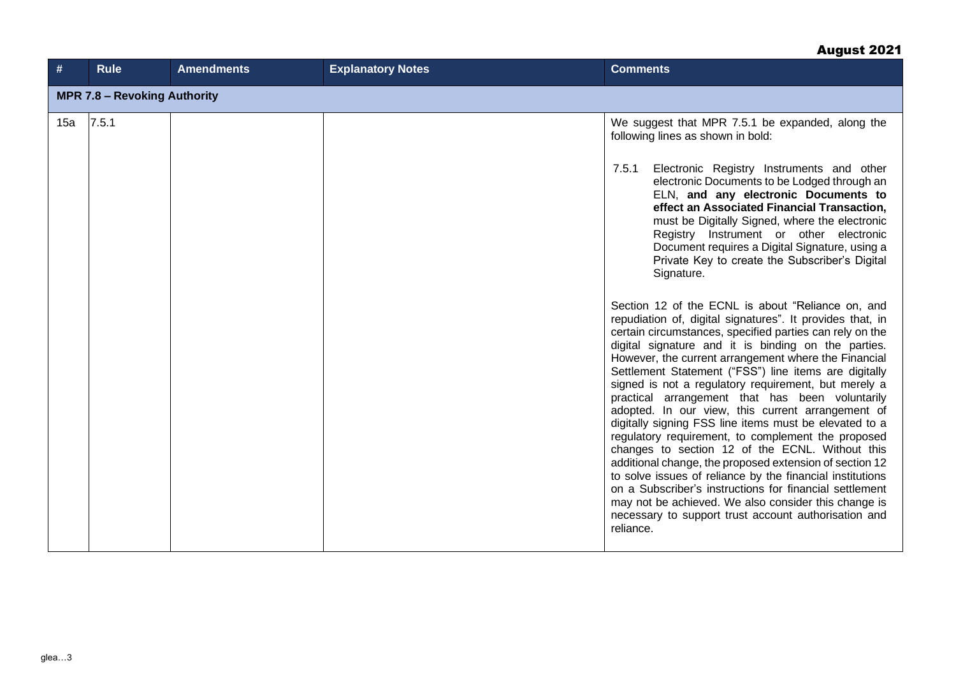# August 2021

| #   | <b>Rule</b>                         | <b>Amendments</b> | <b>Explanatory Notes</b> | <b>Comments</b>                                                                                                                                                                                                                                                                                                                                                                                                                                                                                                                                                                                                                                                                                                                                                                                                                                                                                                                                                                                       |  |  |
|-----|-------------------------------------|-------------------|--------------------------|-------------------------------------------------------------------------------------------------------------------------------------------------------------------------------------------------------------------------------------------------------------------------------------------------------------------------------------------------------------------------------------------------------------------------------------------------------------------------------------------------------------------------------------------------------------------------------------------------------------------------------------------------------------------------------------------------------------------------------------------------------------------------------------------------------------------------------------------------------------------------------------------------------------------------------------------------------------------------------------------------------|--|--|
|     | <b>MPR 7.8 - Revoking Authority</b> |                   |                          |                                                                                                                                                                                                                                                                                                                                                                                                                                                                                                                                                                                                                                                                                                                                                                                                                                                                                                                                                                                                       |  |  |
| 15a | 7.5.1                               |                   |                          | We suggest that MPR 7.5.1 be expanded, along the<br>following lines as shown in bold:                                                                                                                                                                                                                                                                                                                                                                                                                                                                                                                                                                                                                                                                                                                                                                                                                                                                                                                 |  |  |
|     |                                     |                   |                          | Electronic Registry Instruments and other<br>7.5.1<br>electronic Documents to be Lodged through an<br>ELN, and any electronic Documents to<br>effect an Associated Financial Transaction,<br>must be Digitally Signed, where the electronic<br>Registry Instrument or other electronic<br>Document requires a Digital Signature, using a<br>Private Key to create the Subscriber's Digital<br>Signature.                                                                                                                                                                                                                                                                                                                                                                                                                                                                                                                                                                                              |  |  |
|     |                                     |                   |                          | Section 12 of the ECNL is about "Reliance on, and<br>repudiation of, digital signatures". It provides that, in<br>certain circumstances, specified parties can rely on the<br>digital signature and it is binding on the parties.<br>However, the current arrangement where the Financial<br>Settlement Statement ("FSS") line items are digitally<br>signed is not a regulatory requirement, but merely a<br>practical arrangement that has been voluntarily<br>adopted. In our view, this current arrangement of<br>digitally signing FSS line items must be elevated to a<br>regulatory requirement, to complement the proposed<br>changes to section 12 of the ECNL. Without this<br>additional change, the proposed extension of section 12<br>to solve issues of reliance by the financial institutions<br>on a Subscriber's instructions for financial settlement<br>may not be achieved. We also consider this change is<br>necessary to support trust account authorisation and<br>reliance. |  |  |